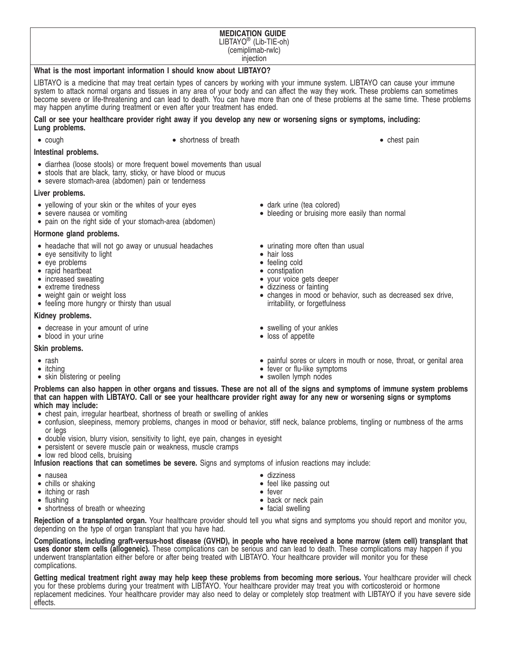#### **MEDICATION GUIDE** LIBTAYO® (Lib-TIE-oh) (cemiplimab-rwlc) injection

#### **What is the most important information I should know about LIBTAYO?**

LIBTAYO is a medicine that may treat certain types of cancers by working with your immune system. LIBTAYO can cause your immune system to attack normal organs and tissues in any area of your body and can affect the way they work. These problems can sometimes become severe or life-threatening and can lead to death. You can have more than one of these problems at the same time. These problems may happen anytime during treatment or even after your treatment has ended.

#### **Call or see your healthcare provider right away if you develop any new or worsening signs or symptoms, including: Lung problems.**

- 
- cough shortness of breath shortness of breath chest pain

#### **Intestinal problems.**

- diarrhea (loose stools) or more frequent bowel movements than usual
- stools that are black, tarry, sticky, or have blood or mucus
- severe stomach-area (abdomen) pain or tenderness

#### **Liver problems.**

- yellowing of your skin or the whites of your eyes
- severe nausea or vomiting
- pain on the right side of your stomach-area (abdomen)

#### **Hormone gland problems.**

- headache that will not go away or unusual headaches
- eye sensitivity to light
- eye problems
- rapid heartbeat
- increased sweating
- extreme tiredness
- weight gain or weight loss
- feeling more hungry or thirsty than usual

#### **Kidney problems.**

- decrease in your amount of urine
- blood in your urine

## **Skin problems.**

- rash
- itching
- skin blistering or peeling
- dark urine (tea colored)
- bleeding or bruising more easily than normal
- urinating more often than usual
- hair loss
- feeling cold
- constipation
- your voice gets deeper
- dizziness or fainting
- changes in mood or behavior, such as decreased sex drive, irritability, or forgetfulness
- swelling of your ankles
- loss of appetite
- painful sores or ulcers in mouth or nose, throat, or genital area
- fever or flu-like symptoms
- swollen lymph nodes

**Problems can also happen in other organs and tissues. These are not all of the signs and symptoms of immune system problems that can happen with LIBTAYO. Call or see your healthcare provider right away for any new or worsening signs or symptoms which may include:**

- chest pain, irregular heartbeat, shortness of breath or swelling of ankles
- confusion, sleepiness, memory problems, changes in mood or behavior, stiff neck, balance problems, tingling or numbness of the arms or legs
- double vision, blurry vision, sensitivity to light, eye pain, changes in eyesight
- persistent or severe muscle pain or weakness, muscle cramps
- low red blood cells, bruising

**Infusion reactions that can sometimes be severe.** Signs and symptoms of infusion reactions may include:

- nausea
- chills or shaking
- itching or rash
- flushing
- shortness of breath or wheezing
- dizziness
- feel like passing out
- fever • back or neck pain
- facial swelling

**Rejection of a transplanted organ.** Your healthcare provider should tell you what signs and symptoms you should report and monitor you, depending on the type of organ transplant that you have had.

**Complications, including graft-versus-host disease (GVHD), in people who have received a bone marrow (stem cell) transplant that uses donor stem cells (allogeneic).** These complications can be serious and can lead to death. These complications may happen if you underwent transplantation either before or after being treated with LIBTAYO. Your healthcare provider will monitor you for these complications.

**Getting medical treatment right away may help keep these problems from becoming more serious.** Your healthcare provider will check you for these problems during your treatment with LIBTAYO. Your healthcare provider may treat you with corticosteroid or hormone replacement medicines. Your healthcare provider may also need to delay or completely stop treatment with LIBTAYO if you have severe side effects.